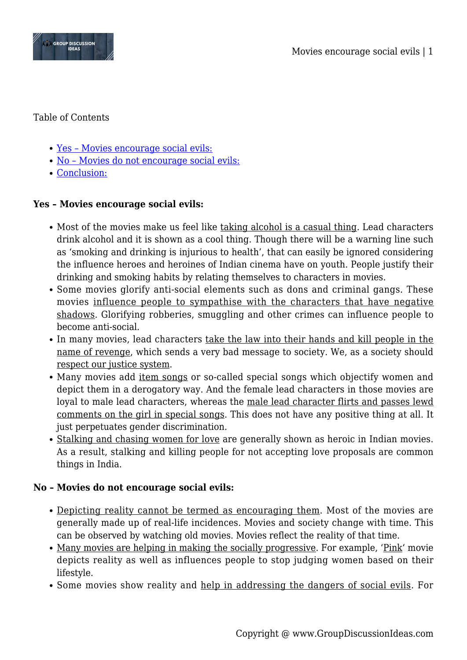

Table of Contents

- [Yes Movies encourage social evils:](#page--1-0)
- [No Movies do not encourage social evils:](#page--1-0)
- [Conclusion:](#page--1-0)

## **Yes – Movies encourage social evils:**

- Most of the movies make us feel like taking alcohol is a casual thing. Lead characters drink alcohol and it is shown as a cool thing. Though there will be a warning line such as 'smoking and drinking is injurious to health', that can easily be ignored considering the influence heroes and heroines of Indian cinema have on youth. People justify their drinking and smoking habits by relating themselves to characters in movies.
- Some movies glorify anti-social elements such as dons and criminal gangs. These movies influence people to sympathise with the characters that have negative shadows. Glorifying robberies, smuggling and other crimes can influence people to become anti-social.
- In many movies, lead characters take the law into their hands and kill people in the name of revenge, which sends a very bad message to society. We, as a society should respect our justice system.
- Many movies add item songs or so-called special songs which objectify women and depict them in a derogatory way. And the female lead characters in those movies are loyal to male lead characters, whereas the male lead character flirts and passes lewd comments on the girl in special songs. This does not have any positive thing at all. It just perpetuates gender discrimination.
- Stalking and chasing women for love are generally shown as heroic in Indian movies. As a result, stalking and killing people for not accepting love proposals are common things in India.

## **No – Movies do not encourage social evils:**

- Depicting reality cannot be termed as encouraging them. Most of the movies are generally made up of real-life incidences. Movies and society change with time. This can be observed by watching old movies. Movies reflect the reality of that time.
- Many movies are helping in making the socially progressive. For example, 'Pink' movie depicts reality as well as influences people to stop judging women based on their lifestyle.
- Some movies show reality and help in addressing the dangers of social evils. For